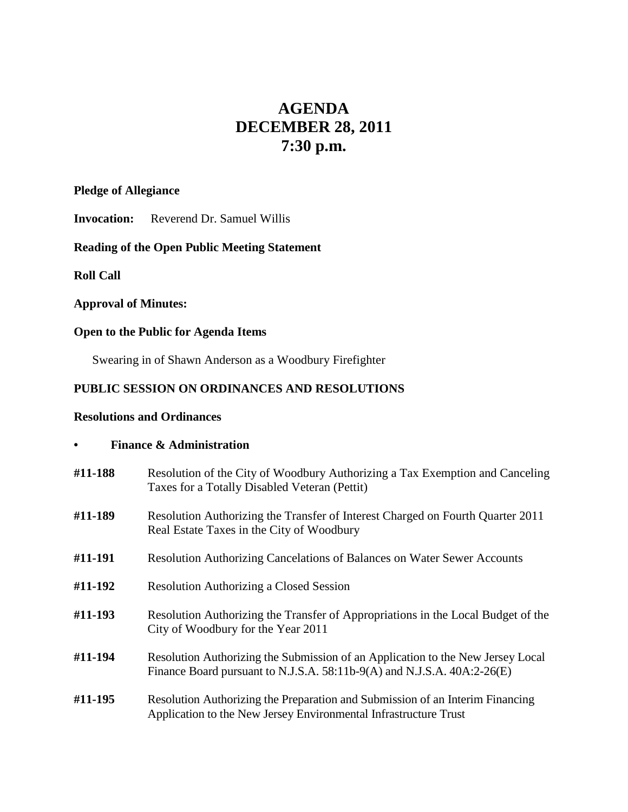# **AGENDA DECEMBER 28, 2011 7:30 p.m.**

#### **Pledge of Allegiance**

**Invocation:** Reverend Dr. Samuel Willis

# **Reading of the Open Public Meeting Statement**

**Roll Call**

## **Approval of Minutes:**

# **Open to the Public for Agenda Items**

Swearing in of Shawn Anderson as a Woodbury Firefighter

# **PUBLIC SESSION ON ORDINANCES AND RESOLUTIONS**

#### **Resolutions and Ordinances**

## **• Finance & Administration**

| #11-188 | Resolution of the City of Woodbury Authorizing a Tax Exemption and Canceling<br>Taxes for a Totally Disabled Veteran (Pettit)                              |
|---------|------------------------------------------------------------------------------------------------------------------------------------------------------------|
| #11-189 | Resolution Authorizing the Transfer of Interest Charged on Fourth Quarter 2011<br>Real Estate Taxes in the City of Woodbury                                |
| #11-191 | Resolution Authorizing Cancelations of Balances on Water Sewer Accounts                                                                                    |
| #11-192 | <b>Resolution Authorizing a Closed Session</b>                                                                                                             |
| #11-193 | Resolution Authorizing the Transfer of Appropriations in the Local Budget of the<br>City of Woodbury for the Year 2011                                     |
| #11-194 | Resolution Authorizing the Submission of an Application to the New Jersey Local<br>Finance Board pursuant to N.J.S.A. 58:11b-9(A) and N.J.S.A. 40A:2-26(E) |
| #11-195 | Resolution Authorizing the Preparation and Submission of an Interim Financing<br>Application to the New Jersey Environmental Infrastructure Trust          |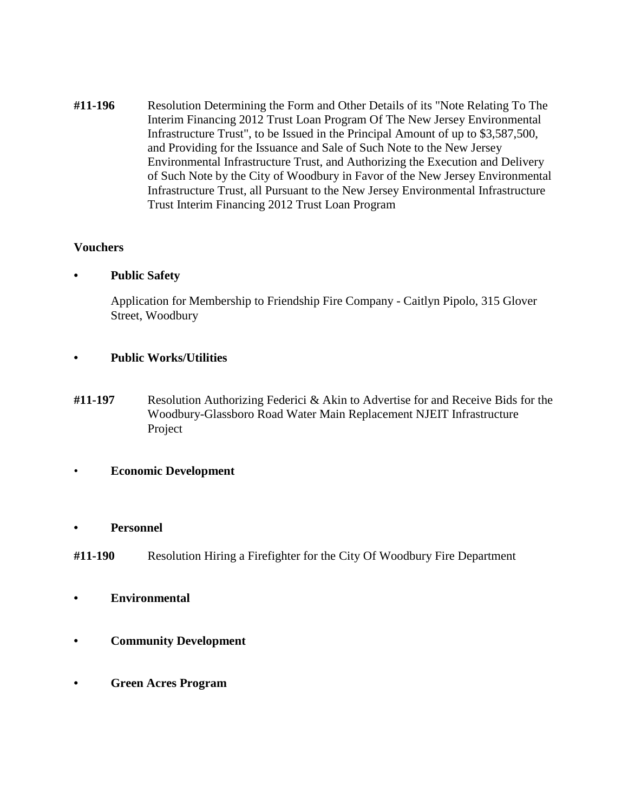**#11-196** Resolution Determining the Form and Other Details of its "Note Relating To The Interim Financing 2012 Trust Loan Program Of The New Jersey Environmental Infrastructure Trust", to be Issued in the Principal Amount of up to \$3,587,500, and Providing for the Issuance and Sale of Such Note to the New Jersey Environmental Infrastructure Trust, and Authorizing the Execution and Delivery of Such Note by the City of Woodbury in Favor of the New Jersey Environmental Infrastructure Trust, all Pursuant to the New Jersey Environmental Infrastructure Trust Interim Financing 2012 Trust Loan Program

#### **Vouchers**

**• Public Safety**

Application for Membership to Friendship Fire Company - Caitlyn Pipolo, 315 Glover Street, Woodbury

- **• Public Works/Utilities**
- **#11-197** Resolution Authorizing Federici & Akin to Advertise for and Receive Bids for the Woodbury-Glassboro Road Water Main Replacement NJEIT Infrastructure Project
- **Economic Development**
- **• Personnel**
- **#11-190** Resolution Hiring a Firefighter for the City Of Woodbury Fire Department
- **• Environmental**
- **• Community Development**
- **• Green Acres Program**